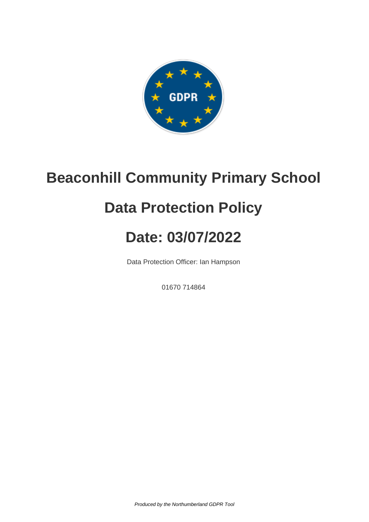

# **Beaconhill Community Primary School**

# **Data Protection Policy**

# **Date: 03/07/2022**

Data Protection Officer: Ian Hampson

01670 714864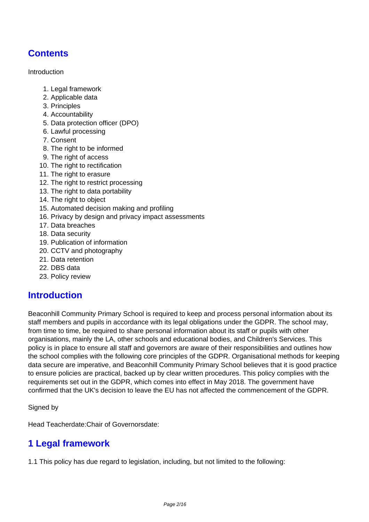# **Contents**

Introduction

- 1. Legal framework
- 2. Applicable data
- 3. Principles
- 4. Accountability
- 5. Data protection officer (DPO)
- 6. Lawful processing
- 7. Consent
- 8. The right to be informed
- 9. The right of access
- 10. The right to rectification
- 11. The right to erasure
- 12. The right to restrict processing
- 13. The right to data portability
- 14. The right to object
- 15. Automated decision making and profiling
- 16. Privacy by design and privacy impact assessments
- 17. Data breaches
- 18. Data security
- 19. Publication of information
- 20. CCTV and photography
- 21. Data retention
- 22. DBS data
- 23. Policy review

#### **Introduction**

Beaconhill Community Primary School is required to keep and process personal information about its staff members and pupils in accordance with its legal obligations under the GDPR. The school may, from time to time, be required to share personal information about its staff or pupils with other organisations, mainly the LA, other schools and educational bodies, and Children's Services. This policy is in place to ensure all staff and governors are aware of their responsibilities and outlines how the school complies with the following core principles of the GDPR. Organisational methods for keeping data secure are imperative, and Beaconhill Community Primary School believes that it is good practice to ensure policies are practical, backed up by clear written procedures. This policy complies with the requirements set out in the GDPR, which comes into effect in May 2018. The government have confirmed that the UK's decision to leave the EU has not affected the commencement of the GDPR.

Signed by

Head Teacherdate:Chair of Governorsdate:

### **1 Legal framework**

1.1 This policy has due regard to legislation, including, but not limited to the following: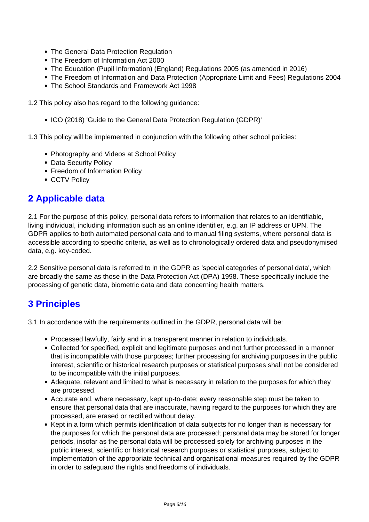- The General Data Protection Regulation
- The Freedom of Information Act 2000
- The Education (Pupil Information) (England) Regulations 2005 (as amended in 2016)
- The Freedom of Information and Data Protection (Appropriate Limit and Fees) Regulations 2004
- The School Standards and Framework Act 1998

1.2 This policy also has regard to the following guidance:

• ICO (2018) 'Guide to the General Data Protection Regulation (GDPR)'

1.3 This policy will be implemented in conjunction with the following other school policies:

- Photography and Videos at School Policy
- Data Security Policy
- Freedom of Information Policy
- CCTV Policy

### **2 Applicable data**

2.1 For the purpose of this policy, personal data refers to information that relates to an identifiable, living individual, including information such as an online identifier, e.g. an IP address or UPN. The GDPR applies to both automated personal data and to manual filing systems, where personal data is accessible according to specific criteria, as well as to chronologically ordered data and pseudonymised data, e.g. key-coded.

2.2 Sensitive personal data is referred to in the GDPR as 'special categories of personal data', which are broadly the same as those in the Data Protection Act (DPA) 1998. These specifically include the processing of genetic data, biometric data and data concerning health matters.

### **3 Principles**

3.1 In accordance with the requirements outlined in the GDPR, personal data will be:

- Processed lawfully, fairly and in a transparent manner in relation to individuals.
- Collected for specified, explicit and legitimate purposes and not further processed in a manner that is incompatible with those purposes; further processing for archiving purposes in the public interest, scientific or historical research purposes or statistical purposes shall not be considered to be incompatible with the initial purposes.
- Adequate, relevant and limited to what is necessary in relation to the purposes for which they are processed.
- Accurate and, where necessary, kept up-to-date; every reasonable step must be taken to ensure that personal data that are inaccurate, having regard to the purposes for which they are processed, are erased or rectified without delay.
- Kept in a form which permits identification of data subjects for no longer than is necessary for the purposes for which the personal data are processed; personal data may be stored for longer periods, insofar as the personal data will be processed solely for archiving purposes in the public interest, scientific or historical research purposes or statistical purposes, subject to implementation of the appropriate technical and organisational measures required by the GDPR in order to safeguard the rights and freedoms of individuals.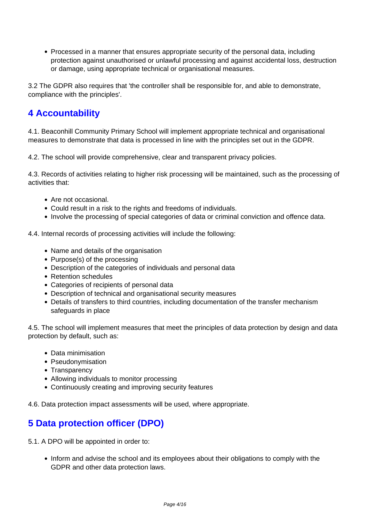Processed in a manner that ensures appropriate security of the personal data, including protection against unauthorised or unlawful processing and against accidental loss, destruction or damage, using appropriate technical or organisational measures.

3.2 The GDPR also requires that 'the controller shall be responsible for, and able to demonstrate, compliance with the principles'.

## **4 Accountability**

4.1. Beaconhill Community Primary School will implement appropriate technical and organisational measures to demonstrate that data is processed in line with the principles set out in the GDPR.

4.2. The school will provide comprehensive, clear and transparent privacy policies.

4.3. Records of activities relating to higher risk processing will be maintained, such as the processing of activities that:

- Are not occasional.
- Could result in a risk to the rights and freedoms of individuals.
- Involve the processing of special categories of data or criminal conviction and offence data.

4.4. Internal records of processing activities will include the following:

- Name and details of the organisation
- Purpose(s) of the processing
- Description of the categories of individuals and personal data
- Retention schedules
- Categories of recipients of personal data
- Description of technical and organisational security measures
- Details of transfers to third countries, including documentation of the transfer mechanism safeguards in place

4.5. The school will implement measures that meet the principles of data protection by design and data protection by default, such as:

- Data minimisation
- Pseudonymisation
- Transparency
- Allowing individuals to monitor processing
- Continuously creating and improving security features

4.6. Data protection impact assessments will be used, where appropriate.

## **5 Data protection officer (DPO)**

5.1. A DPO will be appointed in order to:

• Inform and advise the school and its employees about their obligations to comply with the GDPR and other data protection laws.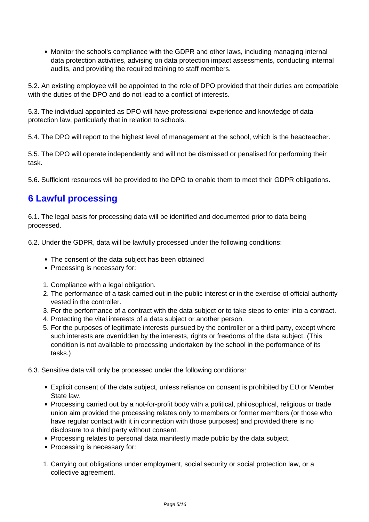Monitor the school's compliance with the GDPR and other laws, including managing internal data protection activities, advising on data protection impact assessments, conducting internal audits, and providing the required training to staff members.

5.2. An existing employee will be appointed to the role of DPO provided that their duties are compatible with the duties of the DPO and do not lead to a conflict of interests.

5.3. The individual appointed as DPO will have professional experience and knowledge of data protection law, particularly that in relation to schools.

5.4. The DPO will report to the highest level of management at the school, which is the headteacher.

5.5. The DPO will operate independently and will not be dismissed or penalised for performing their task.

5.6. Sufficient resources will be provided to the DPO to enable them to meet their GDPR obligations.

## **6 Lawful processing**

6.1. The legal basis for processing data will be identified and documented prior to data being processed.

6.2. Under the GDPR, data will be lawfully processed under the following conditions:

- The consent of the data subject has been obtained
- Processing is necessary for:
- 1. Compliance with a legal obligation.
- 2. The performance of a task carried out in the public interest or in the exercise of official authority vested in the controller.
- 3. For the performance of a contract with the data subject or to take steps to enter into a contract.
- 4. Protecting the vital interests of a data subject or another person.
- 5. For the purposes of legitimate interests pursued by the controller or a third party, except where such interests are overridden by the interests, rights or freedoms of the data subject. (This condition is not available to processing undertaken by the school in the performance of its tasks.)
- 6.3. Sensitive data will only be processed under the following conditions:
	- Explicit consent of the data subject, unless reliance on consent is prohibited by EU or Member State law.
	- Processing carried out by a not-for-profit body with a political, philosophical, religious or trade union aim provided the processing relates only to members or former members (or those who have regular contact with it in connection with those purposes) and provided there is no disclosure to a third party without consent.
	- Processing relates to personal data manifestly made public by the data subject.
	- Processing is necessary for:
	- 1. Carrying out obligations under employment, social security or social protection law, or a collective agreement.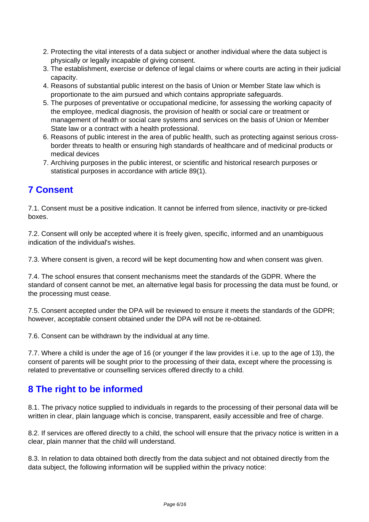- 2. Protecting the vital interests of a data subject or another individual where the data subject is physically or legally incapable of giving consent.
- 3. The establishment, exercise or defence of legal claims or where courts are acting in their judicial capacity.
- 4. Reasons of substantial public interest on the basis of Union or Member State law which is proportionate to the aim pursued and which contains appropriate safeguards.
- 5. The purposes of preventative or occupational medicine, for assessing the working capacity of the employee, medical diagnosis, the provision of health or social care or treatment or management of health or social care systems and services on the basis of Union or Member State law or a contract with a health professional.
- 6. Reasons of public interest in the area of public health, such as protecting against serious crossborder threats to health or ensuring high standards of healthcare and of medicinal products or medical devices
- 7. Archiving purposes in the public interest, or scientific and historical research purposes or statistical purposes in accordance with article 89(1).

## **7 Consent**

7.1. Consent must be a positive indication. It cannot be inferred from silence, inactivity or pre-ticked boxes.

7.2. Consent will only be accepted where it is freely given, specific, informed and an unambiguous indication of the individual's wishes.

7.3. Where consent is given, a record will be kept documenting how and when consent was given.

7.4. The school ensures that consent mechanisms meet the standards of the GDPR. Where the standard of consent cannot be met, an alternative legal basis for processing the data must be found, or the processing must cease.

7.5. Consent accepted under the DPA will be reviewed to ensure it meets the standards of the GDPR; however, acceptable consent obtained under the DPA will not be re-obtained.

7.6. Consent can be withdrawn by the individual at any time.

7.7. Where a child is under the age of 16 (or younger if the law provides it i.e. up to the age of 13), the consent of parents will be sought prior to the processing of their data, except where the processing is related to preventative or counselling services offered directly to a child.

### **8 The right to be informed**

8.1. The privacy notice supplied to individuals in regards to the processing of their personal data will be written in clear, plain language which is concise, transparent, easily accessible and free of charge.

8.2. If services are offered directly to a child, the school will ensure that the privacy notice is written in a clear, plain manner that the child will understand.

8.3. In relation to data obtained both directly from the data subject and not obtained directly from the data subject, the following information will be supplied within the privacy notice: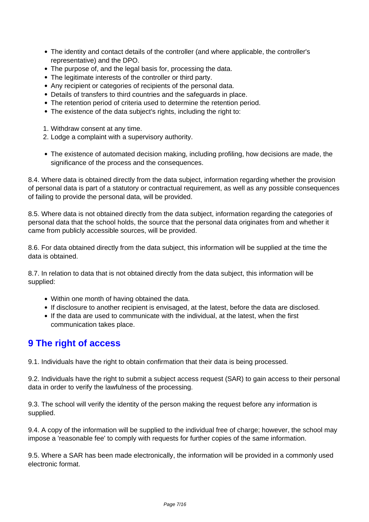- The identity and contact details of the controller (and where applicable, the controller's representative) and the DPO.
- The purpose of, and the legal basis for, processing the data.
- The legitimate interests of the controller or third party.
- Any recipient or categories of recipients of the personal data.
- Details of transfers to third countries and the safeguards in place.
- The retention period of criteria used to determine the retention period.
- The existence of the data subject's rights, including the right to:
- 1. Withdraw consent at any time.
- 2. Lodge a complaint with a supervisory authority.
- The existence of automated decision making, including profiling, how decisions are made, the significance of the process and the consequences.

8.4. Where data is obtained directly from the data subject, information regarding whether the provision of personal data is part of a statutory or contractual requirement, as well as any possible consequences of failing to provide the personal data, will be provided.

8.5. Where data is not obtained directly from the data subject, information regarding the categories of personal data that the school holds, the source that the personal data originates from and whether it came from publicly accessible sources, will be provided.

8.6. For data obtained directly from the data subject, this information will be supplied at the time the data is obtained.

8.7. In relation to data that is not obtained directly from the data subject, this information will be supplied:

- Within one month of having obtained the data.
- If disclosure to another recipient is envisaged, at the latest, before the data are disclosed.
- If the data are used to communicate with the individual, at the latest, when the first communication takes place.

### **9 The right of access**

9.1. Individuals have the right to obtain confirmation that their data is being processed.

9.2. Individuals have the right to submit a subject access request (SAR) to gain access to their personal data in order to verify the lawfulness of the processing.

9.3. The school will verify the identity of the person making the request before any information is supplied.

9.4. A copy of the information will be supplied to the individual free of charge; however, the school may impose a 'reasonable fee' to comply with requests for further copies of the same information.

9.5. Where a SAR has been made electronically, the information will be provided in a commonly used electronic format.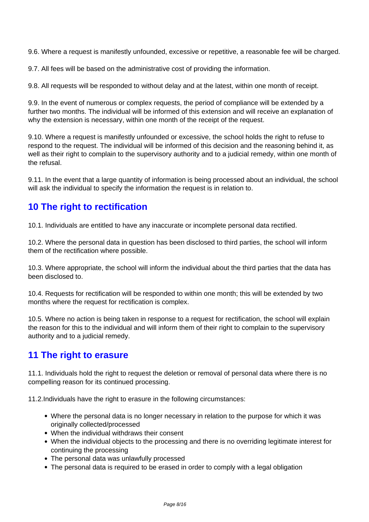9.6. Where a request is manifestly unfounded, excessive or repetitive, a reasonable fee will be charged.

9.7. All fees will be based on the administrative cost of providing the information.

9.8. All requests will be responded to without delay and at the latest, within one month of receipt.

9.9. In the event of numerous or complex requests, the period of compliance will be extended by a further two months. The individual will be informed of this extension and will receive an explanation of why the extension is necessary, within one month of the receipt of the request.

9.10. Where a request is manifestly unfounded or excessive, the school holds the right to refuse to respond to the request. The individual will be informed of this decision and the reasoning behind it, as well as their right to complain to the supervisory authority and to a judicial remedy, within one month of the refusal.

9.11. In the event that a large quantity of information is being processed about an individual, the school will ask the individual to specify the information the request is in relation to.

## **10 The right to rectification**

10.1. Individuals are entitled to have any inaccurate or incomplete personal data rectified.

10.2. Where the personal data in question has been disclosed to third parties, the school will inform them of the rectification where possible.

10.3. Where appropriate, the school will inform the individual about the third parties that the data has been disclosed to.

10.4. Requests for rectification will be responded to within one month; this will be extended by two months where the request for rectification is complex.

10.5. Where no action is being taken in response to a request for rectification, the school will explain the reason for this to the individual and will inform them of their right to complain to the supervisory authority and to a judicial remedy.

### **11 The right to erasure**

11.1. Individuals hold the right to request the deletion or removal of personal data where there is no compelling reason for its continued processing.

11.2.Individuals have the right to erasure in the following circumstances:

- Where the personal data is no longer necessary in relation to the purpose for which it was originally collected/processed
- When the individual withdraws their consent
- When the individual objects to the processing and there is no overriding legitimate interest for continuing the processing
- The personal data was unlawfully processed
- The personal data is required to be erased in order to comply with a legal obligation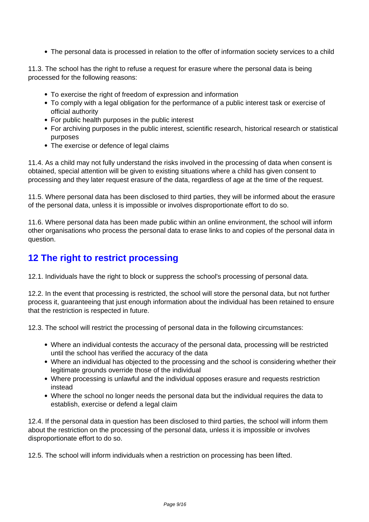The personal data is processed in relation to the offer of information society services to a child

11.3. The school has the right to refuse a request for erasure where the personal data is being processed for the following reasons:

- To exercise the right of freedom of expression and information
- To comply with a legal obligation for the performance of a public interest task or exercise of official authority
- For public health purposes in the public interest
- For archiving purposes in the public interest, scientific research, historical research or statistical purposes
- The exercise or defence of legal claims

11.4. As a child may not fully understand the risks involved in the processing of data when consent is obtained, special attention will be given to existing situations where a child has given consent to processing and they later request erasure of the data, regardless of age at the time of the request.

11.5. Where personal data has been disclosed to third parties, they will be informed about the erasure of the personal data, unless it is impossible or involves disproportionate effort to do so.

11.6. Where personal data has been made public within an online environment, the school will inform other organisations who process the personal data to erase links to and copies of the personal data in question.

### **12 The right to restrict processing**

12.1. Individuals have the right to block or suppress the school's processing of personal data.

12.2. In the event that processing is restricted, the school will store the personal data, but not further process it, guaranteeing that just enough information about the individual has been retained to ensure that the restriction is respected in future.

12.3. The school will restrict the processing of personal data in the following circumstances:

- Where an individual contests the accuracy of the personal data, processing will be restricted until the school has verified the accuracy of the data
- Where an individual has objected to the processing and the school is considering whether their legitimate grounds override those of the individual
- Where processing is unlawful and the individual opposes erasure and requests restriction instead
- Where the school no longer needs the personal data but the individual requires the data to establish, exercise or defend a legal claim

12.4. If the personal data in question has been disclosed to third parties, the school will inform them about the restriction on the processing of the personal data, unless it is impossible or involves disproportionate effort to do so.

12.5. The school will inform individuals when a restriction on processing has been lifted.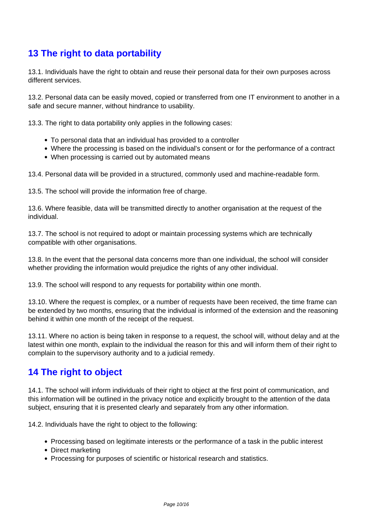## **13 The right to data portability**

13.1. Individuals have the right to obtain and reuse their personal data for their own purposes across different services.

13.2. Personal data can be easily moved, copied or transferred from one IT environment to another in a safe and secure manner, without hindrance to usability.

13.3. The right to data portability only applies in the following cases:

- To personal data that an individual has provided to a controller
- Where the processing is based on the individual's consent or for the performance of a contract
- When processing is carried out by automated means

13.4. Personal data will be provided in a structured, commonly used and machine-readable form.

13.5. The school will provide the information free of charge.

13.6. Where feasible, data will be transmitted directly to another organisation at the request of the individual.

13.7. The school is not required to adopt or maintain processing systems which are technically compatible with other organisations.

13.8. In the event that the personal data concerns more than one individual, the school will consider whether providing the information would prejudice the rights of any other individual.

13.9. The school will respond to any requests for portability within one month.

13.10. Where the request is complex, or a number of requests have been received, the time frame can be extended by two months, ensuring that the individual is informed of the extension and the reasoning behind it within one month of the receipt of the request.

13.11. Where no action is being taken in response to a request, the school will, without delay and at the latest within one month, explain to the individual the reason for this and will inform them of their right to complain to the supervisory authority and to a judicial remedy.

### **14 The right to object**

14.1. The school will inform individuals of their right to object at the first point of communication, and this information will be outlined in the privacy notice and explicitly brought to the attention of the data subject, ensuring that it is presented clearly and separately from any other information.

14.2. Individuals have the right to object to the following:

- Processing based on legitimate interests or the performance of a task in the public interest
- Direct marketing
- Processing for purposes of scientific or historical research and statistics.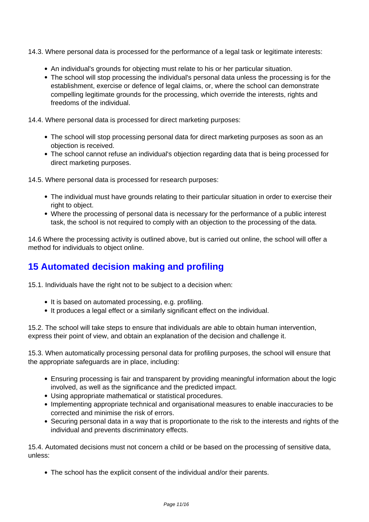- 14.3. Where personal data is processed for the performance of a legal task or legitimate interests:
	- An individual's grounds for objecting must relate to his or her particular situation.
	- The school will stop processing the individual's personal data unless the processing is for the establishment, exercise or defence of legal claims, or, where the school can demonstrate compelling legitimate grounds for the processing, which override the interests, rights and freedoms of the individual.
- 14.4. Where personal data is processed for direct marketing purposes:
	- The school will stop processing personal data for direct marketing purposes as soon as an objection is received.
	- The school cannot refuse an individual's objection regarding data that is being processed for direct marketing purposes.
- 14.5. Where personal data is processed for research purposes:
	- The individual must have grounds relating to their particular situation in order to exercise their right to object.
	- Where the processing of personal data is necessary for the performance of a public interest task, the school is not required to comply with an objection to the processing of the data.

14.6 Where the processing activity is outlined above, but is carried out online, the school will offer a method for individuals to object online.

## **15 Automated decision making and profiling**

15.1. Individuals have the right not to be subject to a decision when:

- It is based on automated processing, e.g. profiling.
- It produces a legal effect or a similarly significant effect on the individual.

15.2. The school will take steps to ensure that individuals are able to obtain human intervention, express their point of view, and obtain an explanation of the decision and challenge it.

15.3. When automatically processing personal data for profiling purposes, the school will ensure that the appropriate safeguards are in place, including:

- Ensuring processing is fair and transparent by providing meaningful information about the logic involved, as well as the significance and the predicted impact.
- Using appropriate mathematical or statistical procedures.
- Implementing appropriate technical and organisational measures to enable inaccuracies to be corrected and minimise the risk of errors.
- Securing personal data in a way that is proportionate to the risk to the interests and rights of the individual and prevents discriminatory effects.

15.4. Automated decisions must not concern a child or be based on the processing of sensitive data, unless:

The school has the explicit consent of the individual and/or their parents.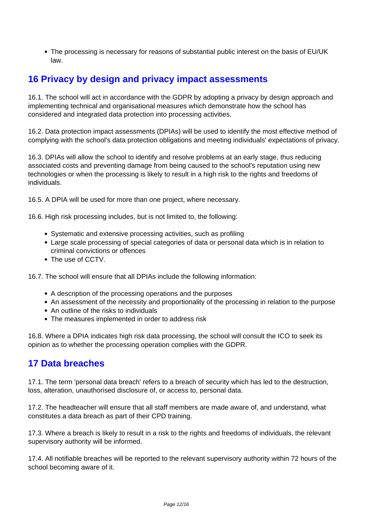• The processing is necessary for reasons of substantial public interest on the basis of EU/UK law.

## **16 Privacy by design and privacy impact assessments**

16.1. The school will act in accordance with the GDPR by adopting a privacy by design approach and implementing technical and organisational measures which demonstrate how the school has considered and integrated data protection into processing activities.

16.2. Data protection impact assessments (DPIAs) will be used to identify the most effective method of complying with the school's data protection obligations and meeting individuals' expectations of privacy.

16.3. DPIAs will allow the school to identify and resolve problems at an early stage, thus reducing associated costs and preventing damage from being caused to the school's reputation using new technologies or when the processing is likely to result in a high risk to the rights and freedoms of individuals.

16.5. A DPIA will be used for more than one project, where necessary.

16.6. High risk processing includes, but is not limited to, the following:

- Systematic and extensive processing activities, such as profiling
- Large scale processing of special categories of data or personal data which is in relation to criminal convictions or offences
- The use of CCTV.

16.7. The school will ensure that all DPIAs include the following information:

- A description of the processing operations and the purposes
- An assessment of the necessity and proportionality of the processing in relation to the purpose
- An outline of the risks to individuals
- The measures implemented in order to address risk

16.8. Where a DPIA indicates high risk data processing, the school will consult the ICO to seek its opinion as to whether the processing operation complies with the GDPR.

#### **17 Data breaches**

17.1. The term 'personal data breach' refers to a breach of security which has led to the destruction, loss, alteration, unauthorised disclosure of, or access to, personal data.

17.2. The headteacher will ensure that all staff members are made aware of, and understand, what constitutes a data breach as part of their CPD training.

17.3. Where a breach is likely to result in a risk to the rights and freedoms of individuals, the relevant supervisory authority will be informed.

17.4. All notifiable breaches will be reported to the relevant supervisory authority within 72 hours of the school becoming aware of it.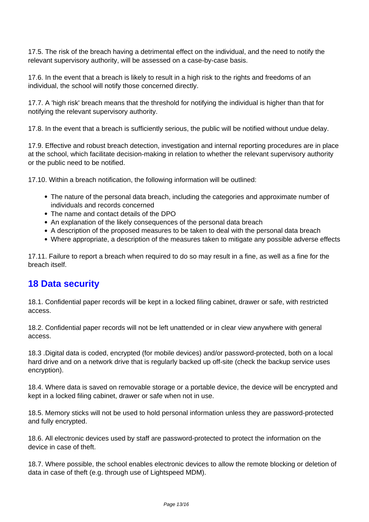17.5. The risk of the breach having a detrimental effect on the individual, and the need to notify the relevant supervisory authority, will be assessed on a case-by-case basis.

17.6. In the event that a breach is likely to result in a high risk to the rights and freedoms of an individual, the school will notify those concerned directly.

17.7. A 'high risk' breach means that the threshold for notifying the individual is higher than that for notifying the relevant supervisory authority.

17.8. In the event that a breach is sufficiently serious, the public will be notified without undue delay.

17.9. Effective and robust breach detection, investigation and internal reporting procedures are in place at the school, which facilitate decision-making in relation to whether the relevant supervisory authority or the public need to be notified.

17.10. Within a breach notification, the following information will be outlined:

- The nature of the personal data breach, including the categories and approximate number of individuals and records concerned
- The name and contact details of the DPO
- An explanation of the likely consequences of the personal data breach
- A description of the proposed measures to be taken to deal with the personal data breach
- Where appropriate, a description of the measures taken to mitigate any possible adverse effects

17.11. Failure to report a breach when required to do so may result in a fine, as well as a fine for the breach itself.

#### **18 Data security**

18.1. Confidential paper records will be kept in a locked filing cabinet, drawer or safe, with restricted access.

18.2. Confidential paper records will not be left unattended or in clear view anywhere with general access.

18.3 .Digital data is coded, encrypted (for mobile devices) and/or password-protected, both on a local hard drive and on a network drive that is regularly backed up off-site (check the backup service uses encryption).

18.4. Where data is saved on removable storage or a portable device, the device will be encrypted and kept in a locked filing cabinet, drawer or safe when not in use.

18.5. Memory sticks will not be used to hold personal information unless they are password-protected and fully encrypted.

18.6. All electronic devices used by staff are password-protected to protect the information on the device in case of theft.

18.7. Where possible, the school enables electronic devices to allow the remote blocking or deletion of data in case of theft (e.g. through use of Lightspeed MDM).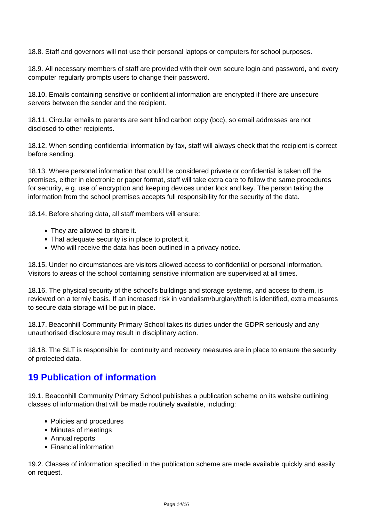18.8. Staff and governors will not use their personal laptops or computers for school purposes.

18.9. All necessary members of staff are provided with their own secure login and password, and every computer regularly prompts users to change their password.

18.10. Emails containing sensitive or confidential information are encrypted if there are unsecure servers between the sender and the recipient.

18.11. Circular emails to parents are sent blind carbon copy (bcc), so email addresses are not disclosed to other recipients.

18.12. When sending confidential information by fax, staff will always check that the recipient is correct before sending.

18.13. Where personal information that could be considered private or confidential is taken off the premises, either in electronic or paper format, staff will take extra care to follow the same procedures for security, e.g. use of encryption and keeping devices under lock and key. The person taking the information from the school premises accepts full responsibility for the security of the data.

18.14. Before sharing data, all staff members will ensure:

- They are allowed to share it.
- That adequate security is in place to protect it.
- Who will receive the data has been outlined in a privacy notice.

18.15. Under no circumstances are visitors allowed access to confidential or personal information. Visitors to areas of the school containing sensitive information are supervised at all times.

18.16. The physical security of the school's buildings and storage systems, and access to them, is reviewed on a termly basis. If an increased risk in vandalism/burglary/theft is identified, extra measures to secure data storage will be put in place.

18.17. Beaconhill Community Primary School takes its duties under the GDPR seriously and any unauthorised disclosure may result in disciplinary action.

18.18. The SLT is responsible for continuity and recovery measures are in place to ensure the security of protected data.

#### **19 Publication of information**

19.1. Beaconhill Community Primary School publishes a publication scheme on its website outlining classes of information that will be made routinely available, including:

- Policies and procedures
- Minutes of meetings
- Annual reports
- Financial information

19.2. Classes of information specified in the publication scheme are made available quickly and easily on request.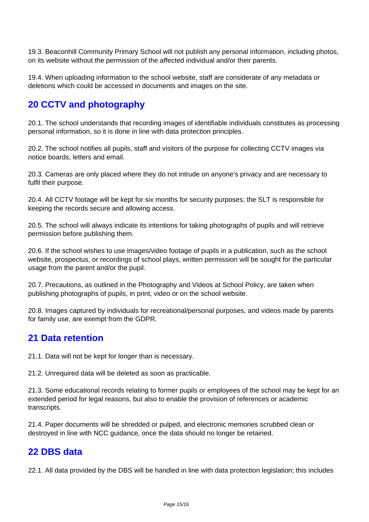19.3. Beaconhill Community Primary School will not publish any personal information, including photos, on its website without the permission of the affected individual and/or their parents.

19.4. When uploading information to the school website, staff are considerate of any metadata or deletions which could be accessed in documents and images on the site.

## **20 CCTV and photography**

20.1. The school understands that recording images of identifiable individuals constitutes as processing personal information, so it is done in line with data protection principles.

20.2. The school notifies all pupils, staff and visitors of the purpose for collecting CCTV images via notice boards, letters and email.

20.3. Cameras are only placed where they do not intrude on anyone's privacy and are necessary to fulfil their purpose.

20.4. All CCTV footage will be kept for six months for security purposes; the SLT is responsible for keeping the records secure and allowing access.

20.5. The school will always indicate its intentions for taking photographs of pupils and will retrieve permission before publishing them.

20.6. If the school wishes to use images/video footage of pupils in a publication, such as the school website, prospectus, or recordings of school plays, written permission will be sought for the particular usage from the parent and/or the pupil.

20.7. Precautions, as outlined in the Photography and Videos at School Policy, are taken when publishing photographs of pupils, in print, video or on the school website.

20.8. Images captured by individuals for recreational/personal purposes, and videos made by parents for family use, are exempt from the GDPR.

### **21 Data retention**

21.1. Data will not be kept for longer than is necessary.

21.2. Unrequired data will be deleted as soon as practicable.

21.3. Some educational records relating to former pupils or employees of the school may be kept for an extended period for legal reasons, but also to enable the provision of references or academic transcripts.

21.4. Paper documents will be shredded or pulped, and electronic memories scrubbed clean or destroyed in line with NCC guidance, once the data should no longer be retained.

### **22 DBS data**

22.1. All data provided by the DBS will be handled in line with data protection legislation; this includes